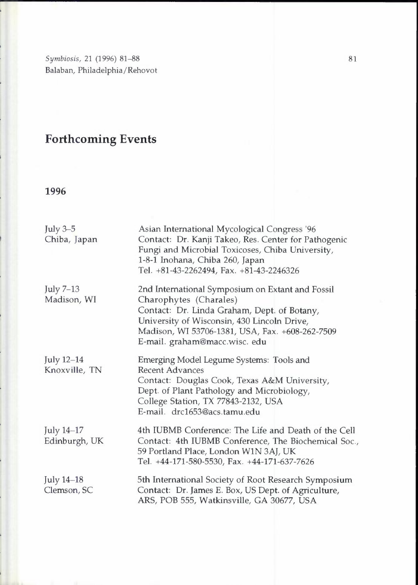*Symbiosis,* 21 (1996) 81-88 Balaban, Philadelphia/Rehovot

# **Forthcoming Events**

| July 3-5<br>Chiba, Japan    | Asian International Mycological Congress '96<br>Contact: Dr. Kanji Takeo, Res. Center for Pathogenic<br>Fungi and Microbial Toxicoses, Chiba University,<br>1-8-1 Inohana, Chiba 260, Japan<br>Tel. +81-43-2262494, Fax. +81-43-2246326                      |
|-----------------------------|--------------------------------------------------------------------------------------------------------------------------------------------------------------------------------------------------------------------------------------------------------------|
| July 7-13<br>Madison, WI    | 2nd International Symposium on Extant and Fossil<br>Charophytes (Charales)<br>Contact: Dr. Linda Graham, Dept. of Botany,<br>University of Wisconsin, 430 Lincoln Drive,<br>Madison, WI 53706-1381, USA, Fax. +608-262-7509<br>E-mail. graham@macc.wisc. edu |
| July 12-14<br>Knoxville, TN | Emerging Model Legume Systems: Tools and<br><b>Recent Advances</b><br>Contact: Douglas Cook, Texas A&M University,<br>Dept. of Plant Pathology and Microbiology,<br>College Station, TX 77843-2132, USA<br>E-mail. drc1653@acs.tamu.edu                      |
| July 14-17<br>Edinburgh, UK | 4th IUBMB Conference: The Life and Death of the Cell<br>Contact: 4th IUBMB Conference, The Biochemical Soc.,<br>59 Portland Place, London W1N 3AJ, UK<br>Tel. +44-171-580-5530, Fax. +44-171-637-7626                                                        |
| July 14–18<br>Clemson, SC   | 5th International Society of Root Research Symposium<br>Contact: Dr. James E. Box, US Dept. of Agriculture,<br>ARS, POB 555, Watkinsville, GA 30677, USA                                                                                                     |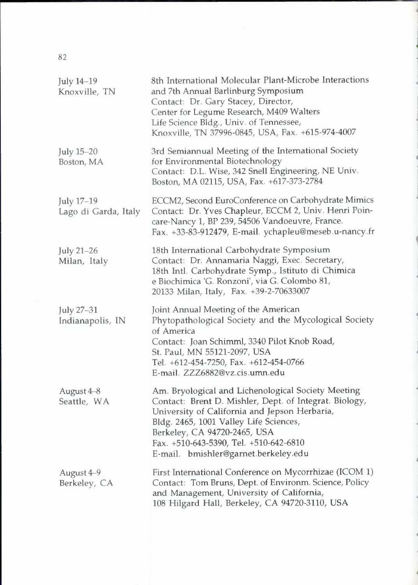| July 14-19<br>Knoxville, TN        | 8th International Molecular Plant-Microbe Interactions<br>and 7th Annual Barlinburg Symposium<br>Contact: Dr. Gary Stacey, Director,<br>Center for Legume Research, M409 Walters<br>Life Science Bldg., Univ. of Tennessee,<br>Knoxville, TN 37996-0845, USA, Fax. +615-974-4007                                          |
|------------------------------------|---------------------------------------------------------------------------------------------------------------------------------------------------------------------------------------------------------------------------------------------------------------------------------------------------------------------------|
| July 15-20<br>Boston, MA           | 3rd Semiannual Meeting of the International Society<br>for Environmental Biotechnology<br>Contact: D.L. Wise, 342 Snell Engineering, NE Univ.<br>Boston, MA 02115, USA, Fax. +617-373-2784                                                                                                                                |
| July 17-19<br>Lago di Garda, Italy | ECCM2, Second EuroConference on Carbohydrate Mimics<br>Contact: Dr. Yves Chapleur, ECCM 2, Univ. Henri Poin-<br>care-Nancy 1, BP 239, 54506 Vandoeuvre, France.<br>Fax. +33-83-912479, E-mail. ychapleu@meseb.u-nancy.fr                                                                                                  |
| July 21-26<br>Milan, Italy         | 18th International Carbohydrate Symposium<br>Contact: Dr. Annamaria Naggi, Exec. Secretary,<br>18th Intl. Carbohydrate Symp., Istituto di Chimica<br>e Biochimica 'G. Ronzoni', via G. Colombo 81,<br>20133 Milan, Italy, Fax. +39-2-70633007                                                                             |
| July 27-31<br>Indianapolis, IN     | Joint Annual Meeting of the American<br>Phytopathological Society and the Mycological Society<br>of America<br>Contact: Joan Schimml, 3340 Pilot Knob Road,<br>St. Paul, MN 55121-2097, USA<br>Tel. +612-454-7250, Fax. +612-454-0766<br>E-mail. ZZZ6882@vz.cis.umn.edu                                                   |
| August 4-8<br>Seattle, WA          | Am. Bryological and Lichenological Society Meeting<br>Contact: Brent D. Mishler, Dept. of Integrat. Biology,<br>University of California and Jepson Herbaria,<br>Bldg. 2465, 1001 Valley Life Sciences,<br>Berkeley, CA 94720-2465, USA<br>Fax. +510-643-5390, Tel. +510-642-6810<br>E-mail. bmishler@garnet.berkeley.edu |
| August 4-9<br>Berkeley, CA         | First International Conference on Mycorrhizae (ICOM 1)<br>Contact: Tom Bruns, Dept. of Environm. Science, Policy<br>and Management, University of California,<br>108 Hilgard Hall, Berkeley, CA 94720-3110, USA                                                                                                           |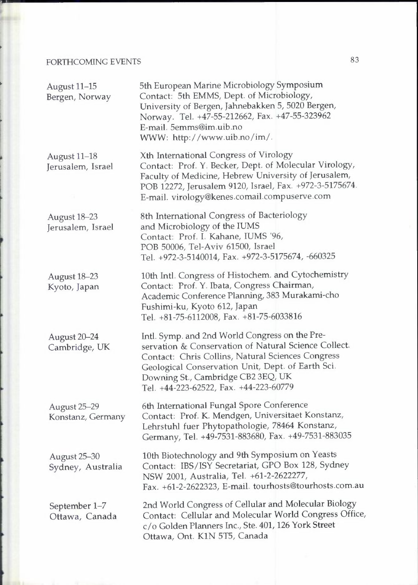#### FORTHCOMING EVENTS

| August 11-15<br>Bergen, Norway    | 5th European Marine Microbiology Symposium<br>Contact: 5th EMMS, Dept. of Microbiology,<br>University of Bergen, Jahnebakken 5, 5020 Bergen,<br>Norway. Tel. +47-55-212662, Fax. +47-55-323962<br>E-mail. 5emms@im.uib.no<br>WWW: http://www.uib.no/im/.                                         |
|-----------------------------------|--------------------------------------------------------------------------------------------------------------------------------------------------------------------------------------------------------------------------------------------------------------------------------------------------|
| August 11-18<br>Jerusalem, Israel | Xth International Congress of Virology<br>Contact: Prof. Y. Becker, Dept. of Molecular Virology,<br>Faculty of Medicine, Hebrew University of Jerusalem,<br>POB 12272, Jerusalem 9120, Israel, Fax. +972-3-5175674.<br>E-mail. virology@kenes.comail.compuserve.com                              |
| August 18-23<br>Jerusalem, Israel | 8th International Congress of Bacteriology<br>and Microbiology of the IUMS<br>Contact: Prof. I. Kahane, IUMS '96,<br>POB 50006, Tel-Aviv 61500, Israel<br>Tel. +972-3-5140014, Fax. +972-3-5175674, -660325                                                                                      |
| August 18-23<br>Kyoto, Japan      | 10th Intl. Congress of Histochem. and Cytochemistry<br>Contact: Prof. Y. Ibata, Congress Chairman,<br>Academic Conference Planning, 383 Murakami-cho<br>Fushimi-ku, Kyoto 612, Japan<br>Tel. +81-75-6112008, Fax. +81-75-6033816                                                                 |
| August 20-24<br>Cambridge, UK     | Intl. Symp. and 2nd World Congress on the Pre-<br>servation & Conservation of Natural Science Collect.<br>Contact: Chris Collins, Natural Sciences Congress<br>Geological Conservation Unit, Dept. of Earth Sci.<br>Downing St., Cambridge CB2 3EQ, UK<br>Tel. +44-223-62522, Fax. +44-223-60779 |
| August 25-29<br>Konstanz, Germany | 6th International Fungal Spore Conference<br>Contact: Prof. K. Mendgen, Universitaet Konstanz,<br>Lehrstuhl fuer Phytopathologie, 78464 Konstanz,<br>Germany, Tel. +49-7531-883680, Fax. +49-7531-883035                                                                                         |
| August 25-30<br>Sydney, Australia | 10th Biotechnology and 9th Symposium on Yeasts<br>Contact: IBS/ISY Secretariat, GPO Box 128, Sydney<br>NSW 2001, Australia, Tel. +61-2-2622277,<br>Fax. +61-2-2622323, E-mail. tourhosts@tourhosts.com.au                                                                                        |
| September 1-7<br>Ottawa, Canada   | 2nd World Congress of Cellular and Molecular Biology<br>Contact: Cellular and Molecular World Congress Office,<br>c/o Golden Planners Inc., Ste. 401, 126 York Street<br>Ottawa, Ont. K1N 5T5, Canada                                                                                            |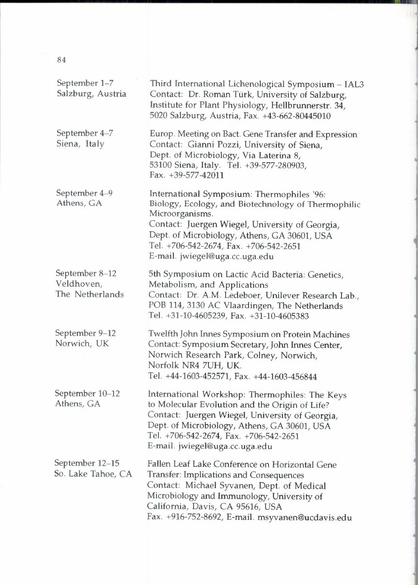| September 1-7<br>Salzburg, Austria              | Third International Lichenological Symposium - IAL3<br>Contact: Dr. Roman Türk, University of Salzburg,<br>Institute for Plant Physiology, Hellbrunnerstr. 34,<br>5020 Salzburg, Austria, Fax. +43-662-80445010                                                                                     |
|-------------------------------------------------|-----------------------------------------------------------------------------------------------------------------------------------------------------------------------------------------------------------------------------------------------------------------------------------------------------|
| September 4-7<br>Siena, Italy                   | Europ. Meeting on Bact. Gene Transfer and Expression<br>Contact: Gianni Pozzi, University of Siena,<br>Dept. of Microbiology, Via Laterina 8,<br>53100 Siena, Italy. Tel. +39-577-280903,<br>Fax. $+39-577-42011$                                                                                   |
| September 4-9<br>Athens, GA                     | International Symposium: Thermophiles '96:<br>Biology, Ecology, and Biotechnology of Thermophilic<br>Microorganisms.<br>Contact: Juergen Wiegel, University of Georgia,<br>Dept. of Microbiology, Athens, GA 30601, USA<br>Tel. +706-542-2674, Fax. +706-542-2651<br>E-mail. jwiegel@uga.cc.uga.edu |
| September 8-12<br>Veldhoven,<br>The Netherlands | 5th Symposium on Lactic Acid Bacteria: Genetics,<br>Metabolism, and Applications<br>Contact: Dr. A.M. Ledeboer, Unilever Research Lab.,<br>POB 114, 3130 AC Vlaardingen, The Netherlands<br>Tel. +31-10-4605239, Fax. +31-10-4605383                                                                |
| September 9-12<br>Norwich, UK                   | Twelfth John Innes Symposium on Protein Machines<br>Contact: Symposium Secretary, John Innes Center,<br>Norwich Research Park, Colney, Norwich,<br>Norfolk NR4 7UH, UK.<br>Tel. +44-1603-452571, Fax. +44-1603-456844                                                                               |
| September 10-12<br>Athens, GA                   | International Workshop: Thermophiles: The Keys<br>to Molecular Evolution and the Origin of Life?<br>Contact: Juergen Wiegel, University of Georgia,<br>Dept. of Microbiology, Athens, GA 30601, USA<br>Tel. +706-542-2674, Fax. +706-542-2651<br>E-mail. jwiegel@uga.cc.uga.edu                     |
| September 12-15<br>So. Lake Tahoe, CA           | Fallen Leaf Lake Conference on Horizontal Gene<br>Transfer: Implications and Consequences<br>Contact: Michael Syvanen, Dept. of Medical<br>Microbiology and Immunology, University of<br>California, Davis, CA 95616, USA<br>Fax. +916-752-8692, E-mail. msyvanen@ucdavis.edu                       |

j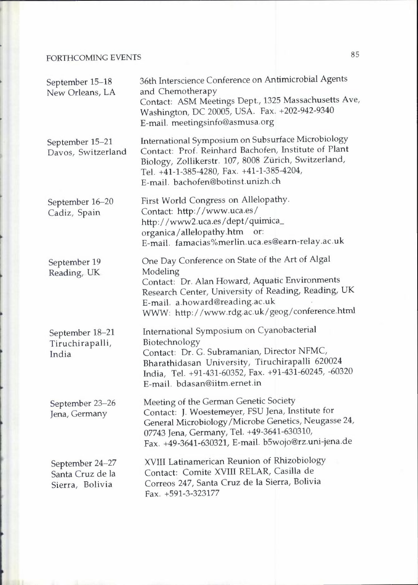#### FORTHCOMING EVENTS

| September 15-18<br>New Orleans, LA                     | 36th Interscience Conference on Antimicrobial Agents<br>and Chemotherapy<br>Contact: ASM Meetings Dept., 1325 Massachusetts Ave,<br>Washington, DC 20005, USA. Fax. +202-942-9340<br>E-mail. meetingsinfo@asmusa.org                                     |
|--------------------------------------------------------|----------------------------------------------------------------------------------------------------------------------------------------------------------------------------------------------------------------------------------------------------------|
| September 15-21<br>Davos, Switzerland                  | International Symposium on Subsurface Microbiology<br>Contact: Prof. Reinhard Bachofen, Institute of Plant<br>Biology, Zollikerstr. 107, 8008 Zürich, Switzerland,<br>Tel. +41-1-385-4280, Fax. +41-1-385-4204,<br>E-mail. bachofen@botinst.unizh.ch     |
| September 16-20<br>Cadiz, Spain                        | First World Congress on Allelopathy.<br>Contact: http://www.uca.es/<br>http://www2.uca.es/dept/quimica_<br>organica/allelopathy.htm or:<br>E-mail. famacias%merlin.uca.es@earn-relay.ac.uk                                                               |
| September 19<br>Reading, UK                            | One Day Conference on State of the Art of Algal<br>Modeling<br>Contact: Dr. Alan Howard, Aquatic Environments<br>Research Center, University of Reading, Reading, UK<br>E-mail. a.howard@reading.ac.uk<br>WWW: http://www.rdg.ac.uk/geog/conference.html |
| September 18-21<br>Tiruchirapalli,<br>India            | International Symposium on Cyanobacterial<br>Biotechnology<br>Contact: Dr. G. Subramanian, Director NFMC,<br>Bharathidasan University, Tiruchirapalli 620024<br>India, Tel. +91-431-60352, Fax. +91-431-60245, -60320<br>E-mail. bdasan@iitm.ernet.in    |
| September 23-26<br>Jena, Germany                       | Meeting of the German Genetic Society<br>Contact: J. Woestemeyer, FSU Jena, Institute for<br>General Microbiology/Microbe Genetics, Neugasse 24,<br>07743 Jena, Germany, Tel. +49-3641-630310,<br>Fax. +49-3641-630321, E-mail. b5wojo@rz.uni-jena.de    |
| September 24-27<br>Santa Cruz de la<br>Sierra, Bolivia | XVIII Latinamerican Reunion of Rhizobiology<br>Contact: Comite XVIII RELAR, Casilla de<br>Correos 247, Santa Cruz de la Sierra, Bolivia<br>Fax. +591-3-323177                                                                                            |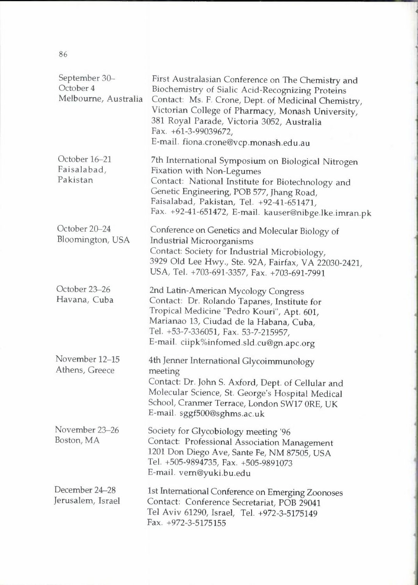| September 30-<br>October 4<br>Melbourne, Australia | First Australasian Conference on The Chemistry and<br>Biochemistry of Sialic Acid-Recognizing Proteins<br>Contact: Ms. F. Crone, Dept. of Medicinal Chemistry,<br>Victorian College of Pharmacy, Monash University,<br>381 Royal Parade, Victoria 3052, Australia<br>Fax. +61-3-99039672,<br>E-mail. fiona.crone@vcp.monash.edu.au |
|----------------------------------------------------|------------------------------------------------------------------------------------------------------------------------------------------------------------------------------------------------------------------------------------------------------------------------------------------------------------------------------------|
| October 16-21<br>Faisalabad,<br>Pakistan           | 7th International Symposium on Biological Nitrogen<br>Fixation with Non-Legumes<br>Contact: National Institute for Biotechnology and<br>Genetic Engineering, POB 577, Jhang Road,<br>Faisalabad, Pakistan, Tel. +92-41-651471,<br>Fax. +92-41-651472, E-mail. kauser@nibge.lke.imran.pk                                            |
| October 20-24<br>Bloomington, USA                  | Conference on Genetics and Molecular Biology of<br>Industrial Microorganisms<br>Contact: Society for Industrial Microbiology,<br>3929 Old Lee Hwy., Ste. 92A, Fairfax, VA 22030-2421,<br>USA, Tel. +703-691-3357, Fax. +703-691-7991                                                                                               |
| October 23-26<br>Havana, Cuba                      | 2nd Latin-American Mycology Congress<br>Contact: Dr. Rolando Tapanes, Institute for<br>Tropical Medicine "Pedro Kouri", Apt. 601,<br>Marianao 13, Ciudad de la Habana, Cuba,<br>Tel. +53-7-336051, Fax. 53-7-215957,<br>E-mail. ciipk%infomed.sld.cu@gn.apc.org                                                                    |
| November 12-15<br>Athens, Greece                   | 4th Jenner International Glycoimmunology<br>meeting<br>Contact: Dr. John S. Axford, Dept. of Cellular and<br>Molecular Science, St. George's Hospital Medical<br>School, Cranmer Terrace, London SW17 ORE, UK<br>E-mail. sggf500@sghms.ac.uk                                                                                       |
| November 23-26<br>Boston, MA                       | Society for Glycobiology meeting '96<br>Contact: Professional Association Management<br>1201 Don Diego Ave, Sante Fe, NM 87505, USA<br>Tel. +505-9894735, Fax. +505-9891073<br>E-mail. vern@yuki.bu.edu                                                                                                                            |
| December 24-28<br>Jerusalem, Israel                | 1st International Conference on Emerging Zoonoses<br>Contact: Conference Secretariat, POB 29041<br>Tel Aviv 61290, Israel, Tel. +972-3-5175149<br>Fax. +972-3-5175155                                                                                                                                                              |

]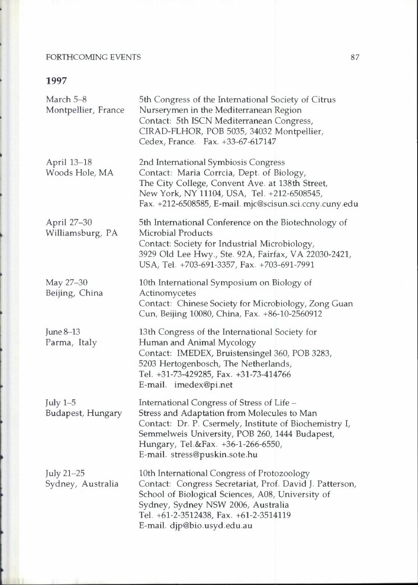#### FORTHCOMING EVENTS

| March 5-8<br>Montpellier, France | 5th Congress of the International Society of Citrus<br>Nurserymen in the Mediterranean Region<br>Contact: 5th ISCN Mediterranean Congress,<br>CIRAD-FLHOR, POB 5035, 34032 Montpellier,<br>Cedex, France. Fax. +33-67-617147                                                 |
|----------------------------------|------------------------------------------------------------------------------------------------------------------------------------------------------------------------------------------------------------------------------------------------------------------------------|
| April 13-18<br>Woods Hole, MA    | 2nd International Symbiosis Congress<br>Contact: Maria Corrcia, Dept. of Biology,<br>The City College, Convent Ave. at 138th Street,<br>New York, NY 11104, USA, Tel. +212-6508545,<br>Fax. +212-6508585, E-mail. mjc@scisun.sci.ccny.cuny.edu                               |
| April 27-30<br>Williamsburg, PA  | 5th International Conference on the Biotechnology of<br>Microbial Products<br>Contact: Society for Industrial Microbiology,<br>3929 Old Lee Hwy., Ste. 92A, Fairfax, VA 22030-2421,<br>USA, Tel. +703-691-3357, Fax. +703-691-7991                                           |
| May 27-30<br>Beijing, China      | 10th International Symposium on Biology of<br>Actinomycetes<br>Contact: Chinese Society for Microbiology, Zong Guan<br>Cun, Beijing 10080, China, Fax. +86-10-2560912                                                                                                        |
| June 8-13<br>Parma, Italy        | 13th Congress of the International Society for<br>Human and Animal Mycology<br>Contact: IMEDEX, Bruistensingel 360, POB 3283,<br>5203 Hertogenbosch, The Netherlands,<br>Tel. +31-73-429285, Fax. +31-73-414766<br>E-mail. imedex@pi.net                                     |
| July $1-5$<br>Budapest, Hungary  | International Congress of Stress of Life -<br>Stress and Adaptation from Molecules to Man<br>Contact: Dr. P. Csermely, Institute of Biochemistry I,<br>Semmelweis University, POB 260, 1444 Budapest,<br>Hungary, Tel.&Fax. +36-1-266-6550,<br>E-mail. stress@puskin.sote.hu |
| July 21-25<br>Sydney, Australia  | 10th International Congress of Protozoology<br>Contact: Congress Secretariat, Prof. David J. Patterson,<br>School of Biological Sciences, A08, University of<br>Sydney, Sydney NSW 2006, Australia<br>Tel. +61-2-3512438, Fax. +61-2-3514119<br>E-mail. djp@bio.usyd.edu.au  |